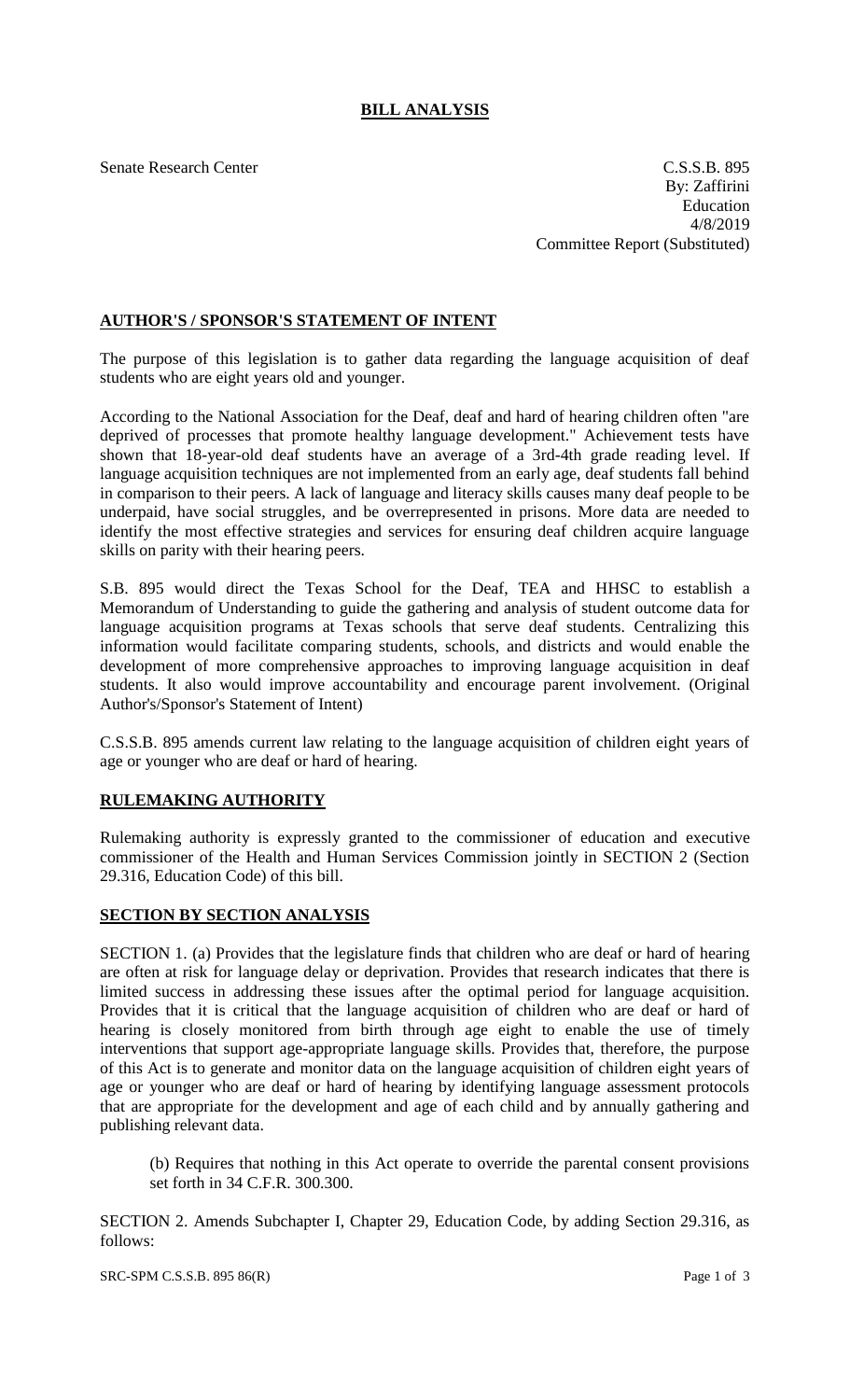## **BILL ANALYSIS**

Senate Research Center C.S.S.B. 895 By: Zaffirini Education 4/8/2019 Committee Report (Substituted)

## **AUTHOR'S / SPONSOR'S STATEMENT OF INTENT**

The purpose of this legislation is to gather data regarding the language acquisition of deaf students who are eight years old and younger.

According to the National Association for the Deaf, deaf and hard of hearing children often "are deprived of processes that promote healthy language development." Achievement tests have shown that 18-year-old deaf students have an average of a 3rd-4th grade reading level. If language acquisition techniques are not implemented from an early age, deaf students fall behind in comparison to their peers. A lack of language and literacy skills causes many deaf people to be underpaid, have social struggles, and be overrepresented in prisons. More data are needed to identify the most effective strategies and services for ensuring deaf children acquire language skills on parity with their hearing peers.

S.B. 895 would direct the Texas School for the Deaf, TEA and HHSC to establish a Memorandum of Understanding to guide the gathering and analysis of student outcome data for language acquisition programs at Texas schools that serve deaf students. Centralizing this information would facilitate comparing students, schools, and districts and would enable the development of more comprehensive approaches to improving language acquisition in deaf students. It also would improve accountability and encourage parent involvement. (Original Author's/Sponsor's Statement of Intent)

C.S.S.B. 895 amends current law relating to the language acquisition of children eight years of age or younger who are deaf or hard of hearing.

## **RULEMAKING AUTHORITY**

Rulemaking authority is expressly granted to the commissioner of education and executive commissioner of the Health and Human Services Commission jointly in SECTION 2 (Section 29.316, Education Code) of this bill.

## **SECTION BY SECTION ANALYSIS**

SECTION 1. (a) Provides that the legislature finds that children who are deaf or hard of hearing are often at risk for language delay or deprivation. Provides that research indicates that there is limited success in addressing these issues after the optimal period for language acquisition. Provides that it is critical that the language acquisition of children who are deaf or hard of hearing is closely monitored from birth through age eight to enable the use of timely interventions that support age-appropriate language skills. Provides that, therefore, the purpose of this Act is to generate and monitor data on the language acquisition of children eight years of age or younger who are deaf or hard of hearing by identifying language assessment protocols that are appropriate for the development and age of each child and by annually gathering and publishing relevant data.

(b) Requires that nothing in this Act operate to override the parental consent provisions set forth in 34 C.F.R. 300.300.

SECTION 2. Amends Subchapter I, Chapter 29, Education Code, by adding Section 29.316, as follows: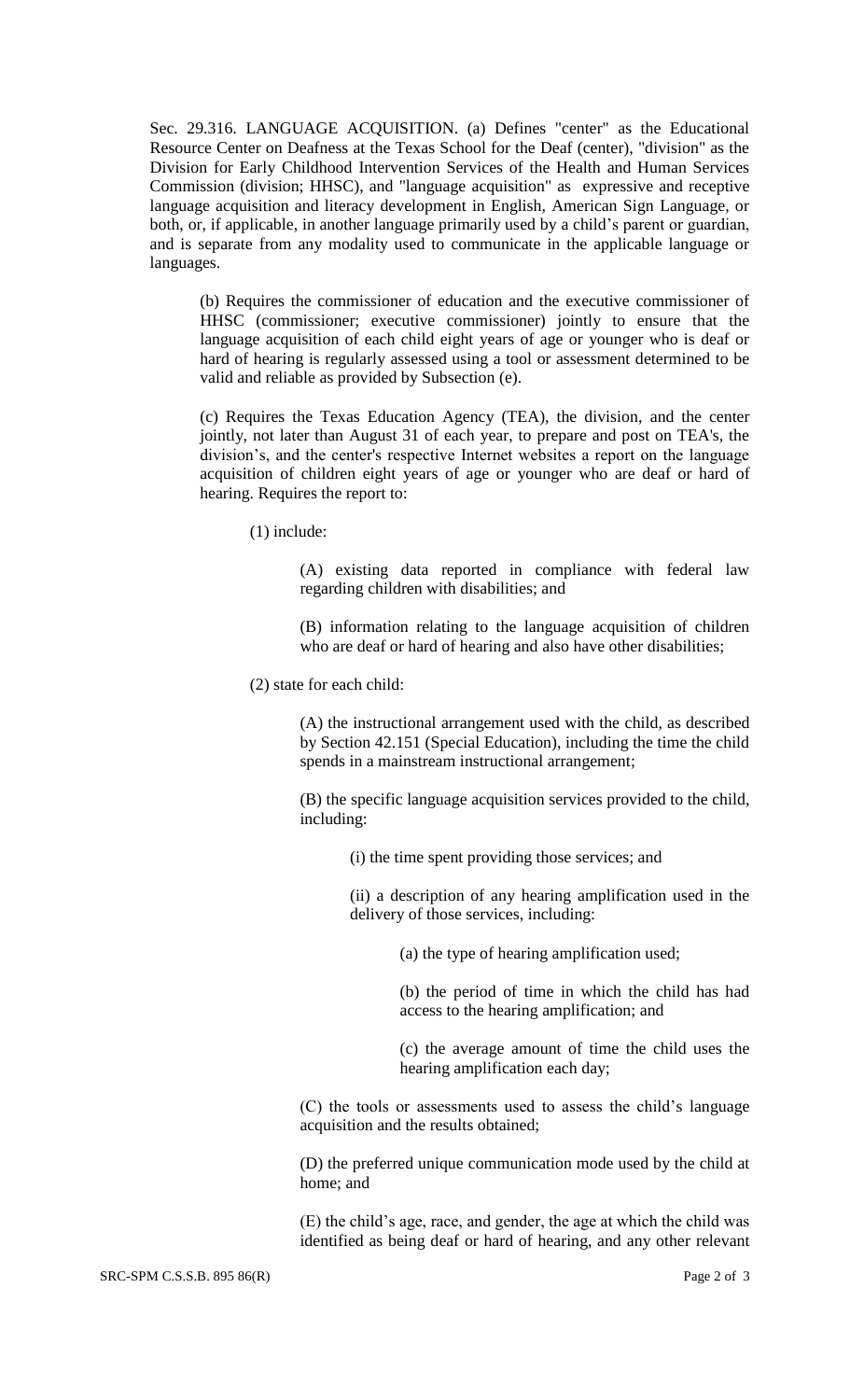Sec. 29.316. LANGUAGE ACQUISITION. (a) Defines "center" as the Educational Resource Center on Deafness at the Texas School for the Deaf (center), "division" as the Division for Early Childhood Intervention Services of the Health and Human Services Commission (division; HHSC), and "language acquisition" as expressive and receptive language acquisition and literacy development in English, American Sign Language, or both, or, if applicable, in another language primarily used by a child's parent or guardian, and is separate from any modality used to communicate in the applicable language or languages.

(b) Requires the commissioner of education and the executive commissioner of HHSC (commissioner; executive commissioner) jointly to ensure that the language acquisition of each child eight years of age or younger who is deaf or hard of hearing is regularly assessed using a tool or assessment determined to be valid and reliable as provided by Subsection (e).

(c) Requires the Texas Education Agency (TEA), the division, and the center jointly, not later than August 31 of each year, to prepare and post on TEA's, the division's, and the center's respective Internet websites a report on the language acquisition of children eight years of age or younger who are deaf or hard of hearing. Requires the report to:

(1) include:

(A) existing data reported in compliance with federal law regarding children with disabilities; and

(B) information relating to the language acquisition of children who are deaf or hard of hearing and also have other disabilities;

(2) state for each child:

(A) the instructional arrangement used with the child, as described by Section 42.151 (Special Education), including the time the child spends in a mainstream instructional arrangement;

(B) the specific language acquisition services provided to the child, including:

(i) the time spent providing those services; and

(ii) a description of any hearing amplification used in the delivery of those services, including:

(a) the type of hearing amplification used;

(b) the period of time in which the child has had access to the hearing amplification; and

(c) the average amount of time the child uses the hearing amplification each day;

(C) the tools or assessments used to assess the child's language acquisition and the results obtained;

(D) the preferred unique communication mode used by the child at home; and

(E) the child's age, race, and gender, the age at which the child was identified as being deaf or hard of hearing, and any other relevant